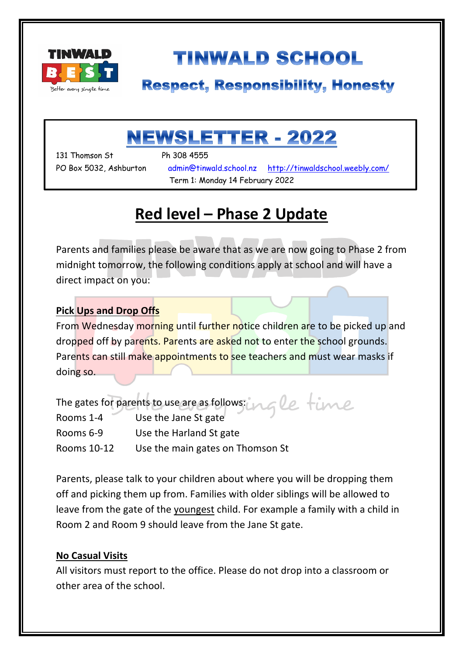

# **TINWALD SCHOOL**

### **Respect, Responsibility, Honesty**

# NEWSLETTER - 2022

131 Thomson St Ph 308 4555

۱

PO Box 5032, Ashburton admin@tinwald.school.nz http://tinwaldschool.weebly.com/ Term 1: Monday 14 February 2022

### **Red level – Phase 2 Update**

Parents and families please be aware that as we are now going to Phase 2 from midnight tomorrow, the following conditions apply at school and will have a direct impact on you:

#### **Pick Ups and Drop Offs**

From Wednesday morning until further notice children are to be picked up and dropped off by parents. Parents are asked not to enter the school grounds. Parents can still make appointments to see teachers and must wear masks if doing so.

| The gates for parents to use are as follows: ungle time |                                  |
|---------------------------------------------------------|----------------------------------|
| Rooms 1-4                                               | Use the Jane St gate             |
| Rooms 6-9                                               | Use the Harland St gate          |
| Rooms 10-12                                             | Use the main gates on Thomson St |

Parents, please talk to your children about where you will be dropping them off and picking them up from. Families with older siblings will be allowed to leave from the gate of the youngest child. For example a family with a child in Room 2 and Room 9 should leave from the Jane St gate.

#### **No Casual Visits**

All visitors must report to the office. Please do not drop into a classroom or other area of the school.